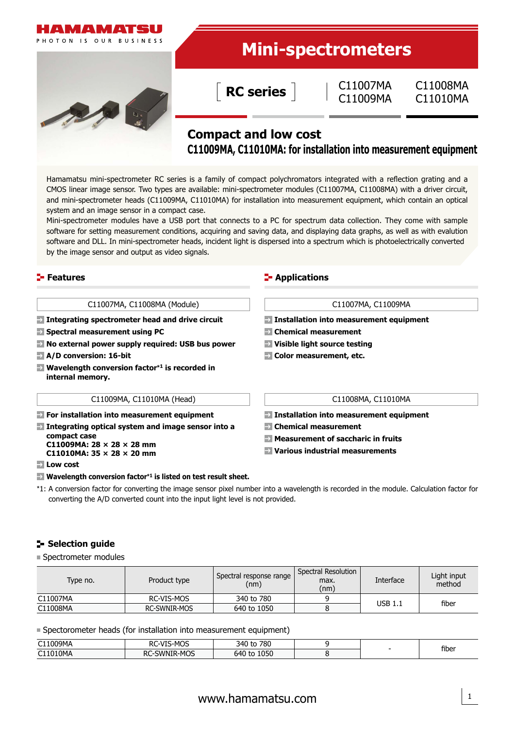

# **Compact and low cost C11009MA, C11010MA: for installation into measurement equipment**

Hamamatsu mini-spectrometer RC series is a family of compact polychromators integrated with a reflection grating and a CMOS linear image sensor. Two types are available: mini-spectrometer modules (C11007MA, C11008MA) with a driver circuit, and mini-spectrometer heads (C11009MA, C11010MA) for installation into measurement equipment, which contain an optical system and an image sensor in a compact case.

Mini-spectrometer modules have a USB port that connects to a PC for spectrum data collection. They come with sample software for setting measurement conditions, acquiring and saving data, and displaying data graphs, as well as with evalution software and DLL. In mini-spectrometer heads, incident light is dispersed into a spectrum which is photoelectrically converted by the image sensor and output as video signals.

#### **Features Constitutions Constitutions Constitutions**

#### C11007MA, C11008MA (Module) C11007MA, C11009MA

**Integrating spectrometer head and drive circuit**

- **Spectral measurement using PC**
- **No external power supply required: USB bus power**
- **A/D conversion: 16-bit**
- **Wavelength conversion factor\*1 is recorded in internal memory.**

#### C11009MA, C11010MA (Head) C11008MA, C11010MA

**For installation into measurement equipment**

- **Integrating optical system and image sensor into a compact case C11009MA: 28 × 28 × 28 mm**
	- **C11010MA: 35 × 28 × 20 mm**
- **Low cost**
- **Wavelength conversion factor\*1 is listed on test result sheet.**

- **Installation into measurement equipment**
- **Chemical measurement**
- **Visible light source testing**
- **Color measurement, etc.**

**Installation into measurement equipment**

- **Chemical measurement**
- **Measurement of saccharic in fruits**
- **Various industrial measurements**

- 
- 
- \*1: A conversion factor for converting the image sensor pixel number into a wavelength is recorded in the module. Calculation factor for converting the A/D converted count into the input light level is not provided.

#### **Selection guide**

■ Spectrometer modules

| Type no. | Product type | Spectral response range<br>(nm) | Spectral Resolution<br>max.<br>(nm) | Interface | Light input<br>method |
|----------|--------------|---------------------------------|-------------------------------------|-----------|-----------------------|
| C11007MA | RC-VIS-MOS   | 340 to 780                      |                                     | USB 1.1   | fiber                 |
| C11008MA | RC-SWNIR-MOS | 640 to 1050                     |                                     |           |                       |

Spectorometer heads (for installation into measurement equipment)

| C11009MA | 1/TC<br>$\mathbf{A}$<br>מח<br>S-MOS<br>$-11$<br>RL. | 780<br>340 t      |  |       |
|----------|-----------------------------------------------------|-------------------|--|-------|
| C11010MA | ረ-MOS<br>-swnif<br><b>RC</b>                        | 1050<br>640<br>to |  | fiber |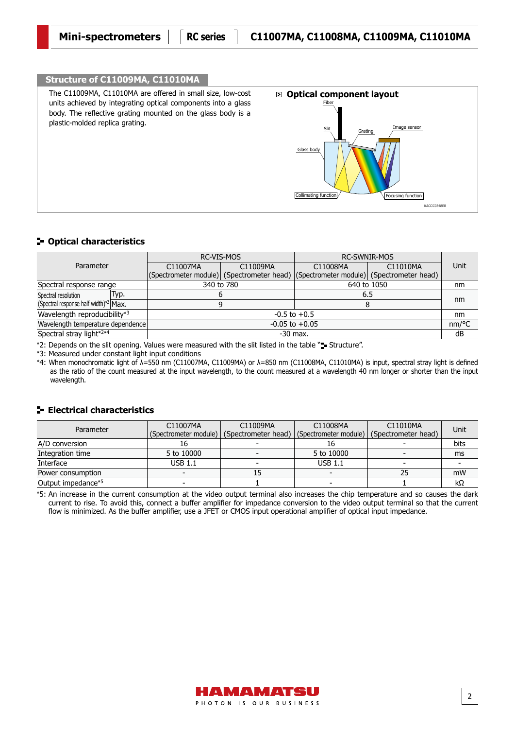# **Structure of C11009MA, C11010MA**

The C11009MA, C11010MA are offered in small size, low-cost units achieved by integrating optical components into a glass body. The reflective grating mounted on the glass body is a plastic-molded replica grating.



#### **Optical characteristics**

| Parameter                             |  | RC-VIS-MOS                                                                                |            | <b>RC-SWNIR-MOS</b>  |  |       |
|---------------------------------------|--|-------------------------------------------------------------------------------------------|------------|----------------------|--|-------|
|                                       |  | C11009MA<br>C11007MA                                                                      |            | C11010MA<br>C11008MA |  | Unit  |
|                                       |  | (Spectrometer module)   (Spectrometer head)   (Spectrometer module)   (Spectrometer head) |            |                      |  |       |
| Spectral response range               |  | 340 to 780                                                                                |            | 640 to 1050          |  | nm    |
| Typ.<br>Spectral resolution           |  |                                                                                           |            | 6.5                  |  | nm    |
| (Spectral response half width)*2 Max. |  |                                                                                           |            | 8                    |  |       |
| Wavelength reproducibility*3          |  | $-0.5$ to $+0.5$                                                                          |            |                      |  |       |
| Wavelength temperature dependence     |  | $-0.05$ to $+0.05$                                                                        |            |                      |  | nm/°C |
| Spectral stray light*2*4              |  |                                                                                           | $-30$ max. |                      |  | dB    |

\*2: Depends on the slit opening. Values were measured with the slit listed in the table "= Structure".

\*3: Measured under constant light input conditions

\*4: When monochromatic light of λ=550 nm (C11007MA, C11009MA) or λ=850 nm (C11008MA, C11010MA) is input, spectral stray light is defined as the ratio of the count measured at the input wavelength, to the count measured at a wavelength 40 nm longer or shorter than the input wavelength.

### **E** Electrical characteristics

| Parameter          | C11007MA<br>(Spectrometer module) | C11009MA<br>(Spectrometer head) | C11008MA<br>(Spectrometer module) | C11010MA<br>(Spectrometer head) | Unit |
|--------------------|-----------------------------------|---------------------------------|-----------------------------------|---------------------------------|------|
| A/D conversion     |                                   |                                 | Ιb                                |                                 | bits |
| Integration time   | 5 to 10000                        | $\overline{\phantom{a}}$        | 5 to 10000                        | $\overline{\phantom{a}}$        | ms   |
| Interface          | $USB$ 1.1                         | $\overline{\phantom{a}}$        | <b>USB 1.1</b>                    |                                 |      |
| Power consumption  |                                   | 15                              |                                   | 25                              | mW   |
| Output impedance*5 |                                   |                                 |                                   |                                 | kΩ   |

\*5: An increase in the current consumption at the video output terminal also increases the chip temperature and so causes the dark current to rise. To avoid this, connect a buffer amplifier for impedance conversion to the video output terminal so that the current flow is minimized. As the buffer amplifier, use a JFET or CMOS input operational amplifier of optical input impedance.

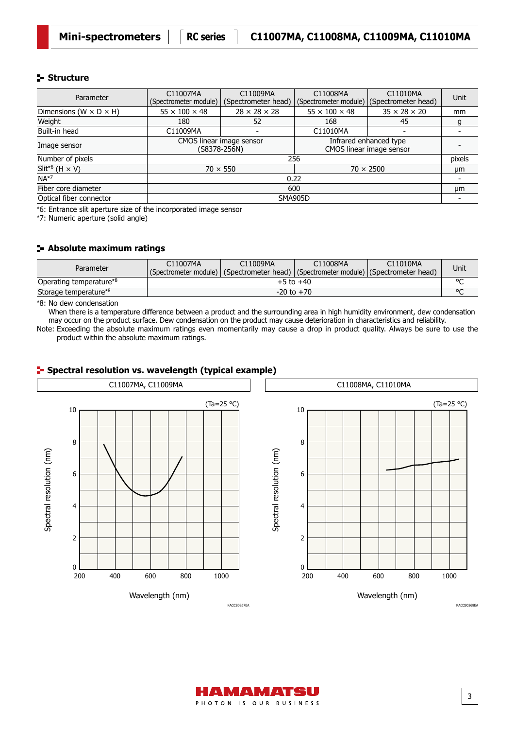### **Structure**

| Parameter                            | C11007MA<br>(Spectrometer module)        | C11009MA<br>(Spectrometer head) | C11008MA                                           | C11010MA<br>(Spectrometer module)   (Spectrometer head) | Unit   |  |
|--------------------------------------|------------------------------------------|---------------------------------|----------------------------------------------------|---------------------------------------------------------|--------|--|
| Dimensions (W $\times$ D $\times$ H) | $55 \times 100 \times 48$                | $28 \times 28 \times 28$        | $55 \times 100 \times 48$                          | $35 \times 28 \times 20$                                | mm     |  |
| Weight                               | 180                                      | 52                              | 168                                                | 45                                                      | g      |  |
| Built-in head                        | C11009MA                                 |                                 | C11010MA                                           |                                                         |        |  |
| Image sensor                         | CMOS linear image sensor<br>(S8378-256N) |                                 | Infrared enhanced type<br>CMOS linear image sensor |                                                         |        |  |
| Number of pixels                     |                                          |                                 | 256                                                |                                                         | pixels |  |
| Slit <sup>*6</sup> (H $\times$ V)    |                                          | $70 \times 550$                 | $70 \times 2500$                                   | μm                                                      |        |  |
| $NA*7$                               | 0.22                                     |                                 |                                                    |                                                         |        |  |
| Fiber core diameter                  | 600                                      |                                 |                                                    |                                                         | μm     |  |
| Optical fiber connector              |                                          | <b>SMA905D</b>                  |                                                    |                                                         |        |  |

\*6: Entrance slit aperture size of the incorporated image sensor

\*7: Numeric aperture (solid angle)

## **Absolute maximum ratings**

| Parameter               | C11007MA<br>C11009MA<br>C11008MA<br>C11010MA<br>(Spectrometer module)   (Spectrometer head)   (Spectrometer module)   (Spectrometer head) |  |  |  |  |  |
|-------------------------|-------------------------------------------------------------------------------------------------------------------------------------------|--|--|--|--|--|
| Operating temperature*8 | $+5$ to $+40$                                                                                                                             |  |  |  |  |  |
| Storage temperature*8   | $-20$ to $+70$                                                                                                                            |  |  |  |  |  |

\*8: No dew condensation

When there is a temperature difference between a product and the surrounding area in high humidity environment, dew condensation may occur on the product surface. Dew condensation on the product may cause deterioration in characteristics and reliability.

Note: Exceeding the absolute maximum ratings even momentarily may cause a drop in product quality. Always be sure to use the product within the absolute maximum ratings.



### **F** Spectral resolution vs. wavelength (typical example)



3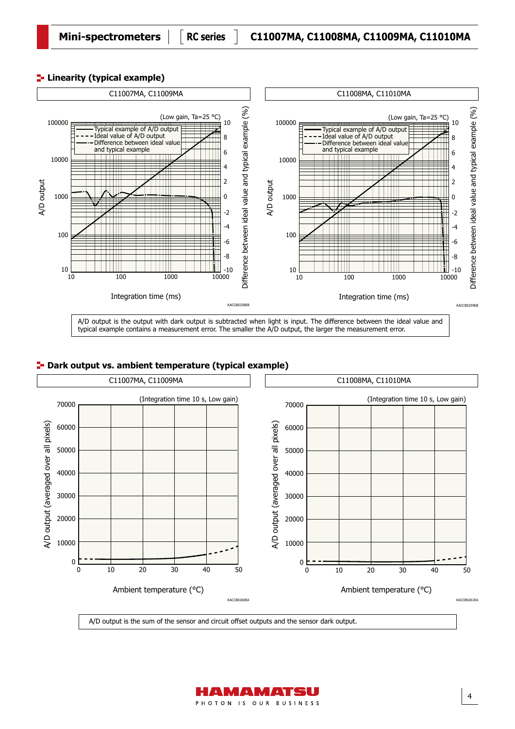# **Linearity (typical example)**



typical example contains a measurement error. The smaller the A/D output, the larger the measurement error.

# **P**- Dark output vs. ambient temperature (typical example)



A/D output is the sum of the sensor and circuit offset outputs and the sensor dark output.

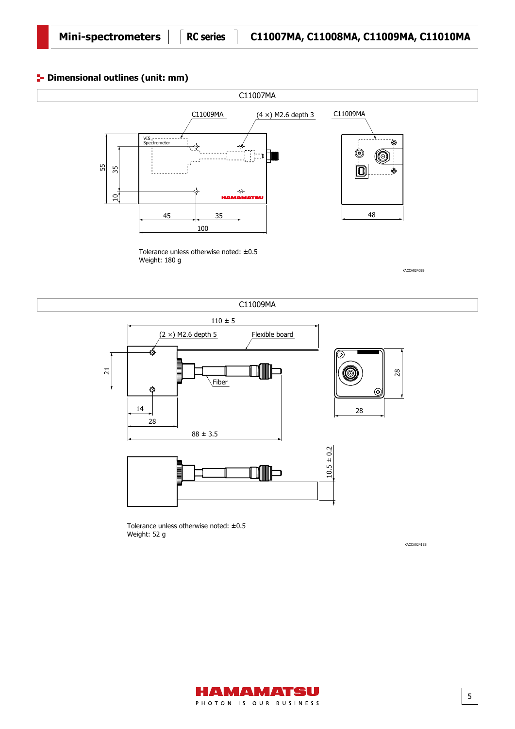# **<sup>1</sup>** Dimensional outlines (unit: mm)



Tolerance unless otherwise noted: ±0.5 Weight: 180 g

KACCA0240EB

KACCA0241EB

5



Tolerance unless otherwise noted: ±0.5 Weight: 52 g

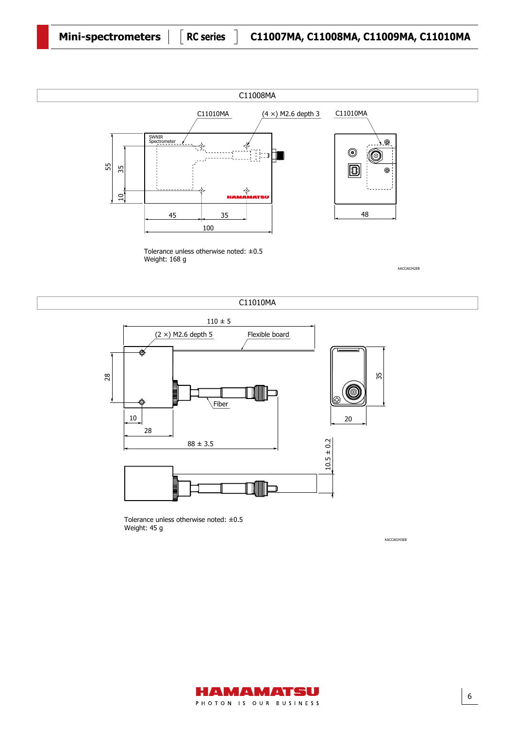

Tolerance unless otherwise noted: ±0.5 Weight: 168 g

KACCA0242EB





Tolerance unless otherwise noted: ±0.5 Weight: 45 g

KACCA0243EB

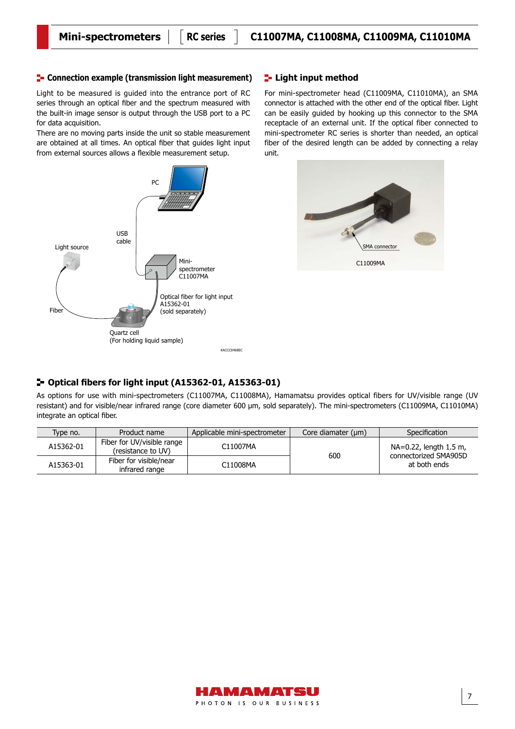#### **Connection example (transmission light measurement) Light input method**

Light to be measured is guided into the entrance port of RC series through an optical fiber and the spectrum measured with the built-in image sensor is output through the USB port to a PC for data acquisition.

There are no moving parts inside the unit so stable measurement are obtained at all times. An optical fiber that guides light input from external sources allows a flexible measurement setup.



For mini-spectrometer head (C11009MA, C11010MA), an SMA connector is attached with the other end of the optical fiber. Light can be easily guided by hooking up this connector to the SMA receptacle of an external unit. If the optical fiber connected to mini-spectrometer RC series is shorter than needed, an optical fiber of the desired length can be added by connecting a relay unit.



#### **Optical fibers for light input (A15362-01, A15363-01)**

As options for use with mini-spectrometers (C11007MA, C11008MA), Hamamatsu provides optical fibers for UV/visible range (UV resistant) and for visible/near infrared range (core diameter 600 µm, sold separately). The mini-spectrometers (C11009MA, C11010MA) integrate an optical fiber.

| Type no.  | Product name                                         | Applicable mini-spectrometer | Core diamater (um) | Specification                                   |
|-----------|------------------------------------------------------|------------------------------|--------------------|-------------------------------------------------|
| A15362-01 | Fiber for UV/visible range<br>(resistance to UV)     | C11007MA                     | 600                | NA=0.22, length 1.5 m,<br>connectorized SMA905D |
| A15363-01 | Fiber for visible/near<br>C11008MA<br>infrared range |                              |                    | at both ends                                    |

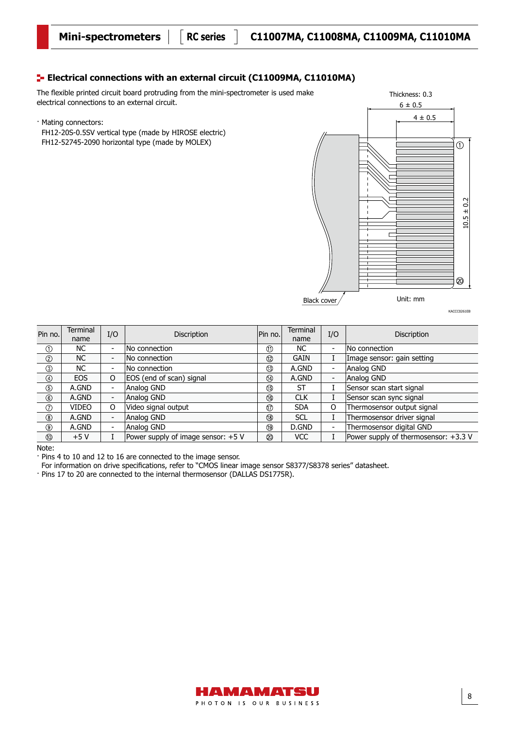# **E-** Electrical connections with an external circuit (C11009MA, C11010MA)

The flexible printed circuit board protruding from the mini-spectrometer is used make electrical connections to an external circuit.

· Mating connectors:

FH12-20S-0.5SV vertical type (made by HIROSE electric) FH12-52745-2090 horizontal type (made by MOLEX)



| ŗ |  |  |
|---|--|--|
|   |  |  |

KACCC0261EB

| Pin no.        | <b>Terminal</b> | I/O                      | Discription                        | Pin no.        | Terminal    | I/O                      | Discription                          |
|----------------|-----------------|--------------------------|------------------------------------|----------------|-------------|--------------------------|--------------------------------------|
|                | name            |                          |                                    |                | name        |                          |                                      |
| $\odot$        | NC.             |                          | No connection                      | $^{\circledR}$ | <b>NC</b>   | $\overline{\phantom{a}}$ | lNo connection                       |
| $^{\circledR}$ | NC.             | $\overline{\phantom{a}}$ | No connection                      | $^{\circledR}$ | <b>GAIN</b> |                          | Image sensor: gain setting           |
| $\circledcirc$ | NC.             |                          | No connection                      |                | A.GND       | $\overline{\phantom{0}}$ | Analog GND                           |
| $\circledcirc$ | <b>EOS</b>      | O                        | EOS (end of scan) signal           | $^{\circledR}$ | A.GND       | $\overline{\phantom{a}}$ | Analog GND                           |
| $\circledS$    | A.GND           | $\overline{\phantom{0}}$ | Analog GND                         | $^\circledR$   | ST          |                          | Sensor scan start signal             |
| $^{\circ}$     | A.GND           | Ξ.                       | Analog GND                         | $^{\circledR}$ | <b>CLK</b>  |                          | Sensor scan sync signal              |
| $\circledcirc$ | VIDEO           | O                        | Video signal output                | $^{\circledR}$ | <b>SDA</b>  | O                        | Thermosensor output signal           |
| $^{\circledR}$ | A.GND           | $\sim$                   | Analog GND                         | $^{\circledR}$ | <b>SCL</b>  |                          | Thermosensor driver signal           |
| $^\circledR$   | A.GND           | Ξ.                       | Analog GND                         | $^{\circledR}$ | D.GND       | $\overline{\phantom{a}}$ | Thermosensor digital GND             |
| $^{\circledR}$ | $+5V$           |                          | Power supply of image sensor: +5 V | ◎              | <b>VCC</b>  |                          | Power supply of thermosensor: +3.3 V |
|                |                 |                          |                                    |                |             |                          |                                      |

Note:

· Pins 4 to 10 and 12 to 16 are connected to the image sensor.

For information on drive specifications, refer to "CMOS linear image sensor S8377/S8378 series" datasheet.

· Pins 17 to 20 are connected to the internal thermosensor (DALLAS DS1775R).

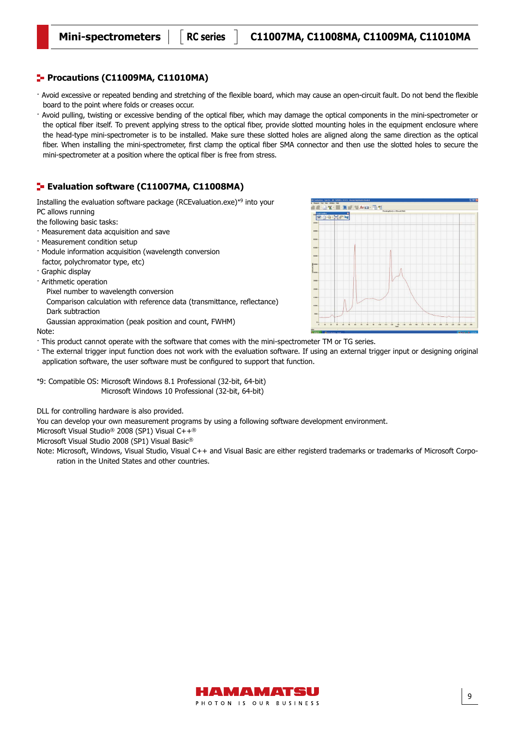### **Procautions (C11009MA, C11010MA)**

- · Avoid excessive or repeated bending and stretching of the flexible board, which may cause an open-circuit fault. Do not bend the flexible board to the point where folds or creases occur.
- · Avoid pulling, twisting or excessive bending of the optical fiber, which may damage the optical components in the mini-spectrometer or the optical fiber itself. To prevent applying stress to the optical fiber, provide slotted mounting holes in the equipment enclosure where the head-type mini-spectrometer is to be installed. Make sure these slotted holes are aligned along the same direction as the optical fiber. When installing the mini-spectrometer, first clamp the optical fiber SMA connector and then use the slotted holes to secure the mini-spectrometer at a position where the optical fiber is free from stress.

### **Evaluation software (C11007MA, C11008MA)**

Installing the evaluation software package (RCEvaluation.exe)\*9 into your

PC allows running

- the following basic tasks:
- · Measurement data acquisition and save
- · Measurement condition setup
- · Module information acquisition (wavelength conversion factor, polychromator type, etc)
- · Graphic display
- · Arithmetic operation
	- Pixel number to wavelength conversion
	- Comparison calculation with reference data (transmittance, reflectance) Dark subtraction
- Gaussian approximation (peak position and count, FWHM)

#### Note:

- · This product cannot operate with the software that comes with the mini-spectrometer TM or TG series.
- · The external trigger input function does not work with the evaluation software. If using an external trigger input or designing original application software, the user software must be configured to support that function.

\*9: Compatible OS: Microsoft Windows 8.1 Professional (32-bit, 64-bit) Microsoft Windows 10 Professional (32-bit, 64-bit)

DLL for controlling hardware is also provided.

You can develop your own measurement programs by using a following software development environment.

Microsoft Visual Studio® 2008 (SP1) Visual C++®

Microsoft Visual Studio 2008 (SP1) Visual Basic®

Note: Microsoft, Windows, Visual Studio, Visual C++ and Visual Basic are either registerd trademarks or trademarks of Microsoft Corporation in the United States and other countries.